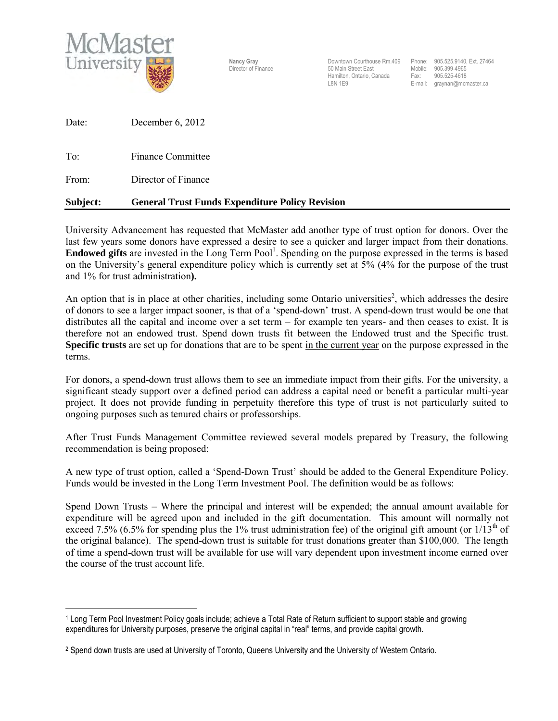

Nancy Gray **Downtown Courthouse Rm.409** Phone: 905.525.9140, Ext. 27464 Director of Finance 50 Main Street East Mobile: 905.399-4965 Hamilton, Ontario, Canada Fax: 905.525-4618<br>I 8N 1E9

E-mail: graynan@mcmaster.ca

| Date: | December $6, 2012$ |
|-------|--------------------|
|       |                    |

To: Finance Committee

From: Director of Finance

## **Subject: General Trust Funds Expenditure Policy Revision**

University Advancement has requested that McMaster add another type of trust option for donors. Over the last few years some donors have expressed a desire to see a quicker and larger impact from their donations. **Endowed gifts** are invested in the Long Term Pool<sup>1</sup>. Spending on the purpose expressed in the terms is based on the University's general expenditure policy which is currently set at 5% (4% for the purpose of the trust and 1% for trust administration**).** 

An option that is in place at other charities, including some Ontario universities<sup>2</sup>, which addresses the desire of donors to see a larger impact sooner, is that of a 'spend-down' trust. A spend-down trust would be one that distributes all the capital and income over a set term – for example ten years- and then ceases to exist. It is therefore not an endowed trust. Spend down trusts fit between the Endowed trust and the Specific trust. **Specific trusts** are set up for donations that are to be spent in the current year on the purpose expressed in the terms.

For donors, a spend-down trust allows them to see an immediate impact from their gifts. For the university, a significant steady support over a defined period can address a capital need or benefit a particular multi-year project. It does not provide funding in perpetuity therefore this type of trust is not particularly suited to ongoing purposes such as tenured chairs or professorships.

After Trust Funds Management Committee reviewed several models prepared by Treasury, the following recommendation is being proposed:

A new type of trust option, called a 'Spend-Down Trust' should be added to the General Expenditure Policy. Funds would be invested in the Long Term Investment Pool. The definition would be as follows:

Spend Down Trusts – Where the principal and interest will be expended; the annual amount available for expenditure will be agreed upon and included in the gift documentation. This amount will normally not exceed 7.5% (6.5% for spending plus the 1% trust administration fee) of the original gift amount (or  $1/13<sup>th</sup>$  of the original balance). The spend-down trust is suitable for trust donations greater than \$100,000. The length of time a spend-down trust will be available for use will vary dependent upon investment income earned over the course of the trust account life.

 $\overline{a}$ 1 Long Term Pool Investment Policy goals include; achieve a Total Rate of Return sufficient to support stable and growing expenditures for University purposes, preserve the original capital in "real" terms, and provide capital growth.

<sup>2</sup> Spend down trusts are used at University of Toronto, Queens University and the University of Western Ontario.